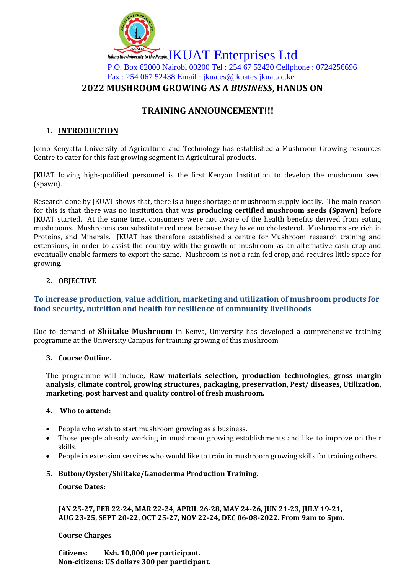

# **TRAINING ANNOUNCEMENT!!!**

# **1. INTRODUCTION**

Jomo Kenyatta University of Agriculture and Technology has established a Mushroom Growing resources Centre to cater for this fast growing segment in Agricultural products.

JKUAT having high-qualified personnel is the first Kenyan Institution to develop the mushroom seed (spawn).

Research done by JKUAT shows that, there is a huge shortage of mushroom supply locally. The main reason for this is that there was no institution that was **producing certified mushroom seeds (Spawn)** before JKUAT started. At the same time, consumers were not aware of the health benefits derived from eating mushrooms. Mushrooms can substitute red meat because they have no cholesterol. Mushrooms are rich in Proteins, and Minerals. JKUAT has therefore established a centre for Mushroom research training and extensions, in order to assist the country with the growth of mushroom as an alternative cash crop and eventually enable farmers to export the same. Mushroom is not a rain fed crop, and requires little space for growing.

## **2. OBJECTIVE**

## **To increase production, value addition, marketing and utilization of mushroom products for food security, nutrition and health for resilience of community livelihoods**

Due to demand of **Shiitake Mushroom** in Kenya, University has developed a comprehensive training programme at the University Campus for training growing of this mushroom.

## **3. Course Outline.**

The programme will include, **Raw materials selection, production technologies, gross margin analysis, climate control, growing structures, packaging, preservation, Pest/ diseases, Utilization, marketing, post harvest and quality control of fresh mushroom.**

## **4. Who to attend:**

- People who wish to start mushroom growing as a business.
- Those people already working in mushroom growing establishments and like to improve on their skills.
- People in extension services who would like to train in mushroom growing skills for training others.

## **5. Button/Oyster/Shiitake/Ganoderma Production Training.**

#### **Course Dates:**

 **JAN 25-27, FEB 22-24, MAR 22-24, APRIL 26-28, MAY 24-26, JUN 21-23, JULY 19-21, AUG 23-25, SEPT 20-22, OCT 25-27, NOV 22-24, DEC 06-08-2022. From 9am to 5pm.**

#### **Course Charges**

**Citizens: Ksh. 10,000 per participant. Non-citizens: US dollars 300 per participant.**